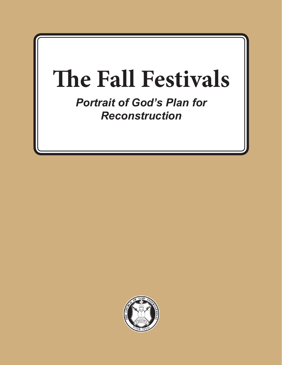# **The Fall Festivals**

*Portrait of God's Plan for Reconstruction*

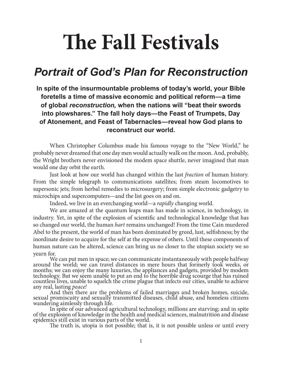## **The Fall Festivals**

## *Portrait of God's Plan for Reconstruction*

**In spite of the insurmountable problems of today's world, your Bible foretells a time of massive economic and political reform—a time of global** *reconstruction,* **when the nations will "beat their swords into plowshares." The fall holy days—the Feast of Trumpets, Day of Atonement, and Feast of Tabernacles—reveal how God plans to reconstruct our world.**

When Christopher Columbus made his famous voyage to the "New World," he probably never dreamed that one day men would actually walk on the moon. And, probably, the Wright brothers never envisioned the modem space shuttle, never imagined that man would one day orbit the earth.

Just look at how our world has changed within the last *fraction* of human history. From the simple telegraph to communications satellites; from steam locomotives to supersonic jets; from herbal remedies to microsurgery; from simple electronic gadgetry to microchips and supercomputers—and the list goes on and on.

Indeed, we live in an everchanging world—a *rapidly* changing world.

We are amazed at the quantum leaps man has made in science, in technology, in industry. Yet, in spite of the explosion of scientific and technological knowledge that has so changed our world, the human *hart* remains unchanged! From the time Cain murdered Abel to the present, the world of man has been dominated by greed, lust, selfishness; by the inordinate desire to acquire for the self at the expense of others. Until these components of human nature can be altered, science can bring us no closer to the utopian society we so

yearn for. We can put men in space; we can communicate instantaneously with people halfway around the world; we can travel distances in mere hours that formerly took weeks, or months; we can enjoy the many luxuries, the appliances and gadgets, provided by modem technology. But we seem unable to put an end to the horrible drug scourge that has ruined countless lives, unable to squelch the crime plague that infects our cities, unable to achieve<br>any real, lasting *peace!* 

And then there are the problems of failed marriages and broken homes, suicide, sexual promiscuity and sexually transmitted diseases, child abuse, and homeless citizens wandering aimlessly through life.

In spite of our advanced agricultural technology, millions are starving; and in spite of the explosion of knowledge in the health and medical sciences, malnutrition and disease epidemics still exist in various parts of the

The truth is, utopia is not possible; that is, it is not possible unless or until every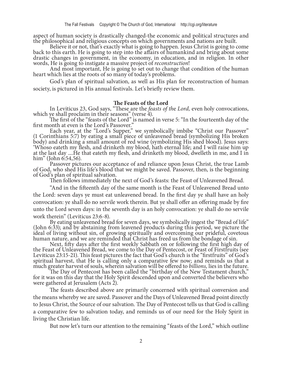aspect of human society is drastically changed-the economic and political structures and the philosophical and religious concepts on which governments and nations are built.

Believe it or not, that's exactly what is going to happen. Jesus Christ is going to come back to this earth. He is going to step into the affairs of humankind and bring about some drastic changes in government, in the economy, in education, and in religion. In other words, He is going to instigate a massive project of *reconstruction*!

And most important, He is going to set out to change that condition of the human heart which lies at the roots of so many of today's problems.

God's plan of spiritual salvation, as well as His plan for reconstruction of human society, is pictured in His annual festivals. Let's briefly review them.

#### **The Feasts of the Lord**

In Leviticus 23, God says, "These are the *feasts of the Lord*, even holy convocations,<br>which ye shall proclaim in their seasons" (verse 4).<br>The first of the "feasts of the Lord" is named in verse 5: "In the fourteenth day

Each year, at the "Lord's Supper," we symbolically imbibe "Christ our Passover" (1 Corinthians 5:7) by eating a small piece of unleavened bread (symbolizing His broken body) and drinking a small amount of red wine (symbolizing His shed blood). Jesus says: 'Whoso eateth my flesh, and drinketh my blood, hath eternal life; and I will raise him up at the last day ....He that eateth my flesh, and drinketh my blood, dwelleth in me, and I in

him" (John 6:54,56).<br>Passover pictures our acceptance of and reliance upon Jesus Christ, the true Lamb of God, who shed His life's blood that we might be saved. Passover, then, is the beginning of God's plan of spiritual salvation.

Then follows immediately the next of God's feasts: the Feast of Unleavened Bread.

"And in the fifteenth day of the same month is the Feast of Unleavened Bread unto the Lord: seven days ye must eat unleavened bread. In the first day ye shall have an holy convocation: ye shall do no servile work therein. But ye shall offer an offering made by fire unto the Lord seven days: in the seventh day is an holy convocation: ye shall do no servile

work therein" (Leviticus 23:6-8).<br>By eating unleavened bread for seven days, we symbolically ingest the "Bread of life" (John 6:33); and by abstaining from leavened products during this period, we picture the ideal of living without sin, of growing spiritually and overcoming our prideful, covetous human nature, and we are reminded that Christ has freed us from the bondage of sin.

Next, fifty days after the first weekly Sabbath on or following the first high day of the Feast of Unleavened Bread, we come to the Day of Pentecost, or Feast of Firstfruits (see Leviticus 23:15-21). This feast pictures the fact that God's church is the "firstfruits" of God's spiritual harvest, that He is calling only a comparative few now; and reminds us that a much greater harvest of souls, wherein salvation will be offered to *billions,* lies in the future.

The Day of Pentecost has been called the "birthday of the New Testament church," for it was on this day that the Holy Spirit descended upon and converted the believers who were gathered at Jerusalem (Acts 2).

The feasts described above are primarily concerned with spiritual conversion and the means whereby we are saved. Passover and the Days of Unleavened Bread point directly to Jesus Christ, the Source of our salvation. The Day of Pentecost tells us that God is calling a comparative few to salvation today, and reminds us of our need for the Holy Spirit in living the Christian life.

But now let's turn our attention to the remaining "feasts of the Lord," which outline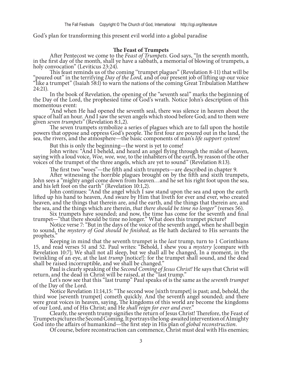God's plan for transforming this present evil world into a global paradise

**The Feast of Trumpets**<br>After Pentecost we come to the *Feast of Trumpets*. God says, "In the seventh month,<br>in the first day of the month, shall ye have a sabbath, a memorial of blowing of trumpets, a<br>holy convocation" (L

This feast reminds us of the coming "trumpet plagues" (Revelation 8-11) that will be "poured out" in the terrifying *Day of the Lord*, and of our present job of lifting up our voice "like a trumpet" (Isaiah 58:l) to warn t 24:21).

In the book of Revelation, the opening of the "seventh seal" marks the beginning of the Day of the Lord, the prophesied time of God's wrath. Notice John's description of this

momentous event:<br>"And when He had opened the seventh seal, there was silence in heaven about the space of half an hour. And I saw the seven angels which stood before God; and to them were given *seven trumpets*" (Revelation 8:1,2).<br>The seven trumpets symbolize a series of plagues which are to fall upon the hostile

powers that oppose and oppress God's people. The first four are poured out in the land, the sea, the rivers, and the atmosphere—the basic components of man's *life support system!* 

But this is only the beginning—the worst is yet to come!<br>John writes: "And I beheld, and heard an angel flying through the midst of heaven, saying with a loud voice, *Woe, woe, woe,* to the inhabiters of the earth, by reason of the other voices of the trumpet of the three angels, which are yet to sound" (Revelation 8:13).

The first two "woes"—the fifth and sixth trumpets—are described in chapter 9.<br>After witnessing the horrible plagues brought on by the fifth and sixth trumpets, John sees a "mighty angel come down from heaven...and he set his right foot upon the sea, and his left foot on the earth" (Revelation 10:1,2).<br>John continues: "And the angel which I saw stand upon the sea and upon the earth

lifted up his hand to heaven, And sware by Him that liveth for ever and ever, who created heaven, and the things that therein are, and the earth, and the things that therein are, and the sea, and the things which are therein, *that there should be time no longer"* (verses 56).

trumpet—"that there should be time no longer." What does this trumpet picture?<br>Notice verse 7: "But in the days of the voice of the seventh angel, when he shall begin<br>to sound, the *mystery of God should be finished*, as H

Keeping in mind that the seventh trumpet is the *last* trump, turn to 1 Corinthians 15, and read verses 51 and 52. Paul writes: "Behold, I shew you a *mystery* [compare with Revelation 10:7]; We shall not all sleep, but we

shall be raised incorruptible, and we shall be changed."<br>Paul is clearly speaking of the *Second Coming of Jesus Christ!* He says that Christ will<br>return, and the dead in Christ will be raised, at the "last trump."<br>Let's n

third woe [seventh trumpet] cometh quickly. And the seventh angel sounded; and there were great voices in heaven, saying, The kingdoms of this world are become the kingdoms of our Lord, and of His Christ; and He *shall reign for ever and ever*."

Trumpets pictures the Second Coming. It portrays the long-awaited intervention of Almighty God into the affairs of humankind—the first step in His plan of *global reconstruction*.<br>Of course, before reconstruction can commence, Christ must deal with His enemies;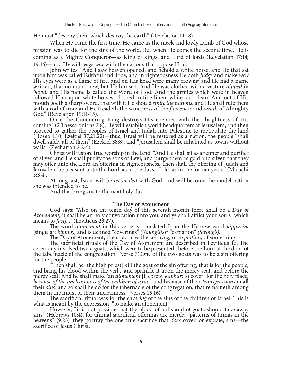He must "destroy them which destroy the earth" (Revelation 11:18).

When He came the first time, He came as the meek and lowly Lamb of God whose mission was to die for the sins of the world. But when He comes the second time, He is coming as a Mighty Conqueror—as King of kings, and Lord of lords (Revelation 17:14;

19:16)—and He will *wage war* with the nations that oppose Him.<br>John writes: "And I saw heaven opened, and behold a white horse; and He that sat<br>upon him was called Faithful and True, and in righteousness He doth *judge* a His eyes were as a flame of fire, and on His head were many crowns; and He had a name written, that no man knew, but He himself. And He was clothed with a vesture *dipped* in *blood:* and His name is called the Word of God. And the armies which were in heaven followed Him upon white horses, clothed in fine linen, white and clean. And out of His mouth goeth a sharp sword, that with it He should *smite the nations:* and He shall rule them with a rod of iron: and He treadeth the winepress of the *fierceness* and *wrath* of Almighty God" (Revelation 19:11-15).<br>Conce the Conquering King destroys His enemies with the "brightness of His

coming" (2 Thessalonians 2:8), He will establish world headquarters at Jerusalem, and then proceed to gather the peoples of Israel and Judah into Palestine to repopulate the land (Hosea 1:10; Ezekiel 37:21,22)—thus, Israel will be restored as a nation; the people "shall dwell safely all of them" (Ezekiel 38:8); and "Jerusalem shall be inhabited as towns without

walls" (Zechariah 2:2-5).<br>Christ will restore true worship in the land. "And He shall sit as a refiner and purifier of silver: and He shall purify the sons of Levi, and purge them as gold and silver, that they may offer unto the Lord an offering in righteousness. Then shall the offering of Judah and Jerusalem be pleasant unto the Lord, as in the days of old, as in the former years" (Malachi 3:3,4).

At long last, Israel will be *reconciled* with God, and will become the model nation she was intended to be.

And that brings us to the next holy day…

**The Day of Atonement** God says: "Also on the tenth day of this seventh month there shall be a *Day of Atonement;* it shall be an holy convocation unto you; and ye shall afflict your souls [which means to *fast*]..." (Leviticus 23:27).<br>The word *atonement* in this verse is translated from the Hebrew word *kippurim* 

(singular: kippur), and is defined "coverings" (Young's), or "expiation" (Strong's).<br>The Day of Atonement, then, pictures the *covering*, or *expiation*, of something.<br>The sacrificial rituals of the Day of Atonement are de the tabernacle of the congregation" (verse 7).One of the two goats was to be a sin offering

"Then shall he [the high priest] kill the goat of the sin offering, that is for the people, and bring his blood within the veil ...and sprinkle it upon the mercy seat, and before the mercy seat: And he shall make 'an *aton* because of the unclean ness of the children of Israel, and because of their *transgressions* in all their *sins:* and so shall he do for the tabernacle of the congregation, that remaineth among them in the midst of their uncleanness" (verses 15,16).

The sacrificial ritual was for the *covering* of the sins of the children of Israel. This is what is meant by the expression, "to make an atonement."

However, "it is not possible that the blood of bulls and of goats should take away sins" (Hebrews 10:4), for animal sacrificial offerings are merely "patterns of things in the heavens" (9:23); they portray the one true sacrifice that *does* cover, or expiate, sins—the sacrifice of Jesus Christ.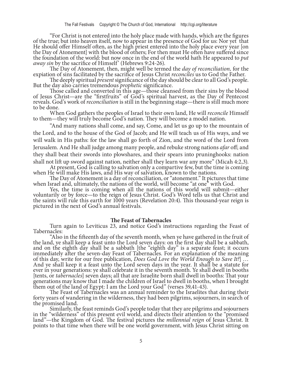"For Christ is not entered into the holy place made with hands, which are the figures of the true; but into heaven itself, now to appear in the presence of God for us: Nor yet that He should offer Himself often, as the high priest entered into the holy place every year [on the Day of Atonement] with the blood of others; For then must He often have suffered since the foundation of the world: but now once in the end of the world hath He appeared to *put away sin* by the sacrifice of Himself' (Hebrews 9:24-26).

The Day of Atonement, then, might well be termed the *day of reconciliation,* for the

expiation of sins facilitated by the sacrifice of Jesus Christ *reconciles* us to God the Father.

But the day also carries tremendous *prophetic* significance.<br>Those called and converted in this age—those cleansed from their sins by the blood of Jesus Christ—are the "firstfruits" of God's spiritual harvest, as the Day of Pentecost reveals. God's work of *reconciliation* is still in the beginning stage—there is still much more to be done.

When God gathers the peoples of Israel to their own land, He will *reconcile* Himself to them—they will truly become God's nation. They will become a model nation.

"And many nations shall come, and say, Come, and let us go up to the mountain of the Lord, and to the house of the God of Jacob; and He will teach us of His ways, and we will walk in His paths: for the law shall go forth of Zion, and the word of the Lord from Jerusalem. And He shall judge among many people, and rebuke strong nations *afar* off; and they shall beat their swords into plowshares, and their spears into pruninghooks: nation

shall not lift up sword against nation, neither shall they learn war any more" (Micah 4:2,3).<br>At present, God is calling to salvation only a compartive few, but the time is coming<br>when He will make His laws, and His way of

the saints will rule this earth for 1000 years (Revelation 20:4). This thousand-year reign is pictured in the next of God's annual festivals.

#### **The Feast of Tabernacles**

Turn again to Leviticus 23, and notice God's instructions regarding the Feast of Tabernacles:

the land, ye shall keep a feast unto the Lord seven days: on the first day shall be a sabbath, and on the eighth day shall be a sabbath [the "eighth day" is a separate feast; it occurs immediately after the seven-day Feast of Tabernacles. For an explanation of the meaning of this day, write for our free publication, *Does God Love the World Enough to Save It?*] … And ye shall keep it a feast unto the Lord seven days in the year. It shall be a statute for ever in your generations: ye shall celebrate it in the seventh month. Ye shall dwell in booths<br>[tents, or *tabernacles*] seven days; all that are Israelite born shall dwell in booths: That your generations may know that I made the children of Israel to dwell in booths, when I brought them out of the land of Egypt: I am the Lord your God" (verses 39,41-43).

The Feast of Tabernacles was an annual reminder to the Israelites that during their forty years of wandering in the wilderness, they had been pilgrims, sojourners, in search of the promised land.

the promised land. Similarly, the feast reminds God's people today that they are pilgrims and sojourners in the "wilderness" of this present evil world, and directs their attention to the "promised land"—the Kingdom of God. The festival pictures the *millennial reign* of Jesus Christ. It points to that time when there will be one world government, with Jesus Christ sitting on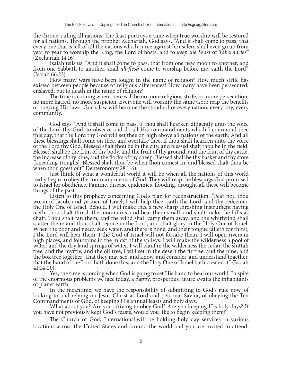the throne, ruling all nations. The feast portrays a time when true worship will be restored for all nations. Through the prophet Zechariah, God says, "And it shall come to pass, that every one that is left of all the nations which came against Jerusalem shall even go up from year to year to worship the King, the Lord of hosts, and to *keep the Feast* of *Tabernacles"*  (Zechariah 14:16).<br>Isaiah tells us, "And it shall come to pass, that from one new moon to another, and

It shall *all flesh* come to worship before me, saith the Lord" (Isaiah 66:23).<br>It shall *all flesh* come to worship before me, saith the Lord" (Isaiah 66:23).

existed between people because of religious differences? How many have been persecuted, enslaved, put to death in the name of religion?

The time is coming when there will be no more religious strife, no more persecution, no more hatred, no more suspicion. Everyone will worship the same God; reap the benefits of obeying His laws. God's law will become the standard of every nation, every city, every community.

God says: "And it shall come to pass, if thou shalt hearken diligently unto the voice of the Lord thy God, to observe and do all His commandments which I command thee this day, that the Lord thy God will set thee on high above all nations of the earth: And all these blessings shall come on thee, and overtake thee, if thou shalt hearken unto the voice of the Lord thy God. Blessed shalt thou be in the city, and blessed shalt thou be in the field. Blessed shall be the fruit of thy body, and the fruit of thy ground, and the fruit of thy cattle, the increase of thy kine, and the flocks of thy sheep. Blessed shall be thy basket and thy store [kneading-troughs]. Blessed shalt thou be when thou comest in, and blessed shalt thou be

Just think of what a wonderful world it will be when all the nations of this world really begin to obey the commandments of God. They will reap the blessings God promised to Israel for obedience. Famine, disease epidemics, flooding, drought-all these will become

Listen to this prophecy concerning God's plan for reconstruction: "Fear not, thou worm of Jacob, and ye men of Israel; I will help thee, saith the Lord, and thy redeemer, the Holy One of Israel. Behold, I will make thee a new sharp threshing instrument having teeth: thou shalt thresh the mountains, and beat them small, and shalt make the hills as chaff. Thou shalt fan them, and the wind shall carry them away, and the whirlwind shall scatter them: and thou shalt rejoice in the Lord, and shalt glory in the Holy One of Israel. When the poor and needy seek water, and there is none, and their tongue faileth for thirst, I the Lord will hear them, I the God of Israel will not forsake them. I will open rivers in high places, and fountains in the midst of the valleys: I will make the wilderness a pool of water, and the dry land springs of water. I will plant in the wilderness the cedar, the shittah tree, and the myrtle, and the oil tree; I will set in the desert the fir tree, and the pine, and the box tree together: That they may see, and know, and consider, and understand together, that the hand of the Lord hath done this, and the Holy One of Israel hath created it" (Isaiah

41:14-20).<br>Yes, the time is coming when God is going to set His hand to heal our world. In spite of the enormous problems we face today, a happy, prosperous future awaits the inhabitants of planet earth.

In the meantime, we have the responsibility of submitting to God's rule now, of looking to and relying on Jesus Christ as Lord and personal Savior, of obeying the Ten Commandments of God, of keeping His annual feasts and h

What about you? Are you striving to obey God? Are you keeping His holy days? If you have not previously kept God's feasts, would you like to begin keeping them?

The Church of God, International,will be holding holy day services in various locations across the United States and around the world-and you are invited to attend.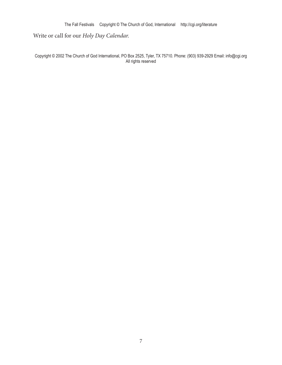The Fall Festivals Copyright © The Church of God, International http://cgi.org/literature

### Write or call for our *Holy Day Calendar*.

Copyright © 2002 The Church of God International, PO Box 2525, Tyler, TX 75710. Phone: (903) 939-2929 Email: info@cgi.org All rights reserved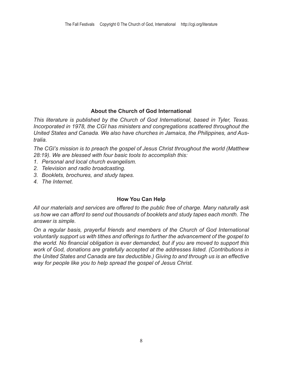### **About the Church of God International**

*This literature is published by the Church of God International, based in Tyler, Texas. Incorporated in 1978, the CGI has ministers and congregations scattered throughout the United States and Canada. We also have churches in Jamaica, the Philippines, and Australia.* 

*The CGI's mission is to preach the gospel of Jesus Christ throughout the world (Matthew 28:19). We are blessed with four basic tools to accomplish this:* 

- *1. Personal and local church evangelism.*
- *2. Television and radio broadcasting.*
- *3. Booklets, brochures, and study tapes.*
- *4. The Internet.*

#### **How You Can Help**

*All our materials and services are offered to the public free of charge. Many naturally ask us how we can afford to send out thousands of booklets and study tapes each month. The answer is simple.* 

*On a regular basis, prayerful friends and members of the Church of God International voluntarily support us with tithes and offerings to further the advancement of the gospel to the world. No financial obligation is ever demanded, but if you are moved to support this work of God, donations are gratefully accepted at the addresses listed. (Contributions in the United States and Canada are tax deductible.) Giving to and through us is an effective way for people like you to help spread the gospel of Jesus Christ.*